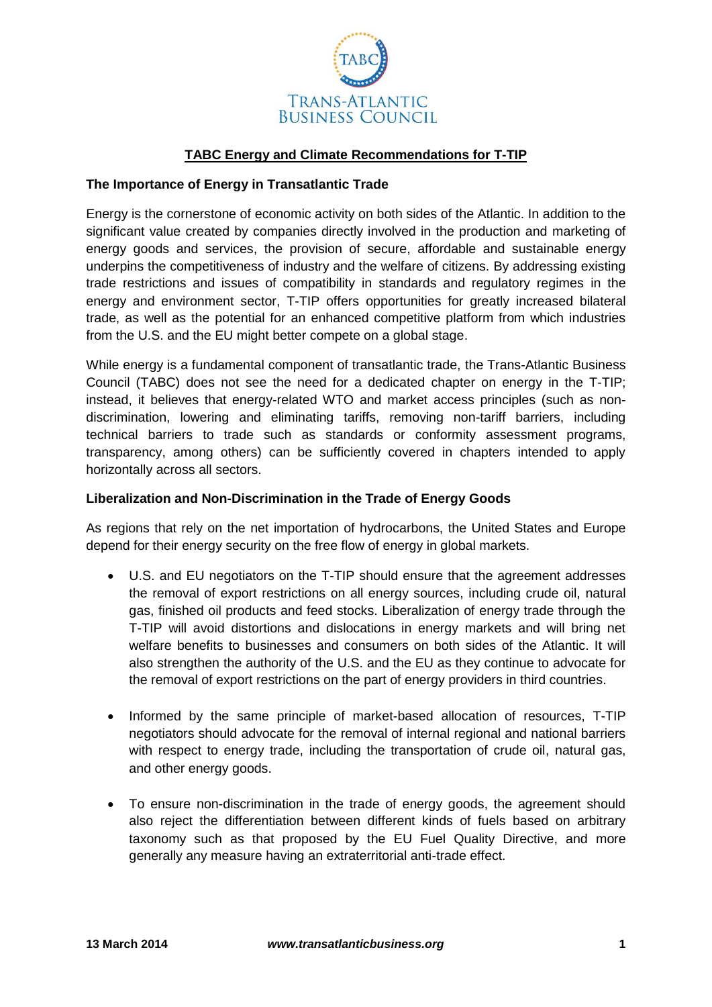

## **TABC Energy and Climate Recommendations for T-TIP**

## **The Importance of Energy in Transatlantic Trade**

Energy is the cornerstone of economic activity on both sides of the Atlantic. In addition to the significant value created by companies directly involved in the production and marketing of energy goods and services, the provision of secure, affordable and sustainable energy underpins the competitiveness of industry and the welfare of citizens. By addressing existing trade restrictions and issues of compatibility in standards and regulatory regimes in the energy and environment sector, T-TIP offers opportunities for greatly increased bilateral trade, as well as the potential for an enhanced competitive platform from which industries from the U.S. and the EU might better compete on a global stage.

While energy is a fundamental component of transatlantic trade, the Trans-Atlantic Business Council (TABC) does not see the need for a dedicated chapter on energy in the T-TIP; instead, it believes that energy-related WTO and market access principles (such as nondiscrimination, lowering and eliminating tariffs, removing non-tariff barriers, including technical barriers to trade such as standards or conformity assessment programs, transparency, among others) can be sufficiently covered in chapters intended to apply horizontally across all sectors.

## **Liberalization and Non-Discrimination in the Trade of Energy Goods**

As regions that rely on the net importation of hydrocarbons, the United States and Europe depend for their energy security on the free flow of energy in global markets.

- U.S. and EU negotiators on the T-TIP should ensure that the agreement addresses the removal of export restrictions on all energy sources, including crude oil, natural gas, finished oil products and feed stocks. Liberalization of energy trade through the T-TIP will avoid distortions and dislocations in energy markets and will bring net welfare benefits to businesses and consumers on both sides of the Atlantic. It will also strengthen the authority of the U.S. and the EU as they continue to advocate for the removal of export restrictions on the part of energy providers in third countries.
- Informed by the same principle of market-based allocation of resources. T-TIP negotiators should advocate for the removal of internal regional and national barriers with respect to energy trade, including the transportation of crude oil, natural gas, and other energy goods.
- To ensure non-discrimination in the trade of energy goods, the agreement should also reject the differentiation between different kinds of fuels based on arbitrary taxonomy such as that proposed by the EU Fuel Quality Directive, and more generally any measure having an extraterritorial anti-trade effect.